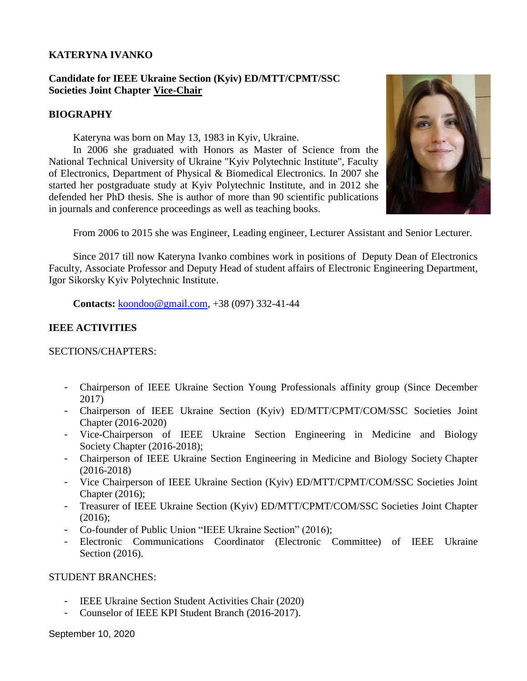### **KATERYNA IVANKO**

# **Candidate for IEEE Ukraine Section (Kyiv) ED/MTT/CPMT/SSC Societies Joint Chapter Vice-Chair**

#### **BIOGRAPHY**

Kateryna was born on May 13, 1983 in Kyiv, Ukraine.

In 2006 she graduated with Honors as Master of Science from the National Technical University of Ukraine "Kyiv Polytechnic Institute", Faculty of Electronics, Department of Physical & Biomedical Electronics. In 2007 she started her postgraduate study at Kyiv Polytechnic Institute, and in 2012 she defended her PhD thesis. She is author of more than 90 scientific publications in journals and conference proceedings as well as teaching books.



From 2006 to 2015 she was Engineer, Leading engineer, Lecturer Assistant and Senior Lecturer.

Since 2017 till now Kateryna Ivanko combines work in positions of Deputy Dean of Electronics Faculty, Associate Professor and Deputy Head of student affairs of Electronic Engineering Department, Igor Sikorsky Kyiv Polytechnic Institute.

**Contacts:** [koondoo@gmail.com,](mailto:koondoo@gmail.com) +38 (097) 332-41-44

### **IEEE ACTIVITIES**

SECTIONS/CHAPTERS:

- Chairperson of IEEE Ukraine Section Young Professionals affinity group (Since December 2017)
- Chairperson of IEEE Ukraine Section (Kyiv) ED/MTT/CPMT/COM/SSC Societies Joint Chapter (2016-2020)
- Vice-Chairperson of IEEE Ukraine Section Engineering in Medicine and Biology Society Chapter (2016-2018);
- Chairperson of IEEE Ukraine Section Engineering in Medicine and Biology Society Chapter (2016-2018)
- Vice Chairperson of IEEE Ukraine Section (Kyiv) ED/MTT/CPMT/COM/SSC Societies Joint Chapter (2016);
- Treasurer of IEEE Ukraine Section (Kyiv) ED/MTT/CPMT/COM/SSC Societies Joint Chapter (2016);
- Co-founder of Public Union "IEEE Ukraine Section" (2016);
- Electronic Communications Coordinator (Electronic Committee) of IEEE Ukraine Section (2016).

#### STUDENT BRANCHES:

- IEEE Ukraine Section Student Activities Chair (2020)
- Counselor of IEEE KPI Student Branch (2016-2017).

September 10, 2020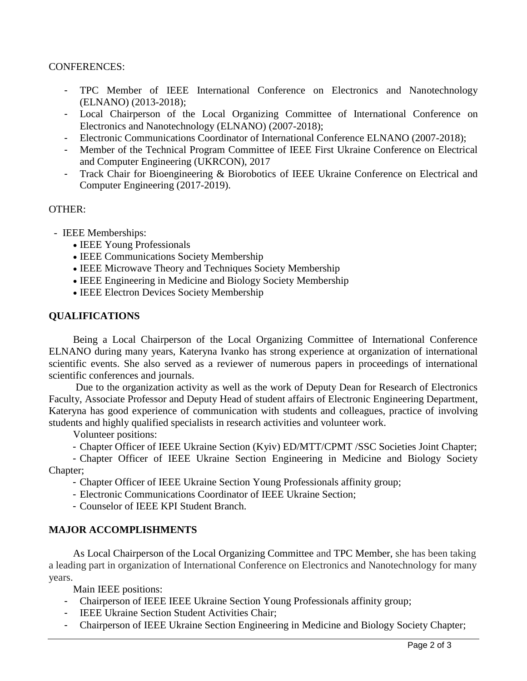### CONFERENCES:

- TPC Member of IEEE International Conference on Electronics and Nanotechnology (ELNANO) (2013-2018);
- Local Chairperson of the Local Organizing Committee of International Conference on Electronics and Nanotechnology (ELNANO) (2007-2018);
- Electronic Communications Coordinator of International Conference ELNANO (2007-2018);
- Member of the Technical Program Committee of IEEE First Ukraine Conference on Electrical and Computer Engineering (UKRCON), 2017
- Track Chair for Bioengineering & Biorobotics of IEEE Ukraine Conference on Electrical and Computer Engineering (2017-2019).

#### OTHER:

- IEEE Memberships:
	- IEEE Young Professionals
	- IEEE Communications Society Membership
	- IEEE Microwave Theory and Techniques Society Membership
	- IEEE Engineering in Medicine and Biology Society Membership
	- IEEE Electron Devices Society Membership

# **QUALIFICATIONS**

Being a Local Chairperson of the Local Organizing Committee of International Conference ELNANO during many years, Kateryna Ivanko has strong experience at organization of international scientific events. She also served as a reviewer of numerous papers in proceedings of international scientific conferences and journals.

Due to the organization activity as well as the work of Deputy Dean for Research of Electronics Faculty, Associate Professor and Deputy Head of student affairs of Electronic Engineering Department, Kateryna has good experience of communication with students and colleagues, practice of involving students and highly qualified specialists in research activities and volunteer work.

Volunteer positions:

- Chapter Officer of IEEE Ukraine Section (Kyiv) ED/MTT/CPMT /SSC Societies Joint Chapter;
- Chapter Officer of IEEE Ukraine Section Engineering in Medicine and Biology Society Chapter;
	- Chapter Officer of IEEE Ukraine Section Young Professionals affinity group;
	- Electronic Communications Coordinator of IEEE Ukraine Section;
	- Counselor of IEEE KPI Student Branch.

# **MAJOR ACCOMPLISHMENTS**

As Local Chairperson of the Local Organizing Committee and TPC Member, she has been taking a leading part in organization of International Conference on Electronics and Nanotechnology for many years.

Main IEEE positions:

- Chairperson of IEEE IEEE Ukraine Section Young Professionals affinity group;
- IEEE Ukraine Section Student Activities Chair;
- Chairperson of IEEE Ukraine Section Engineering in Medicine and Biology Society Chapter;